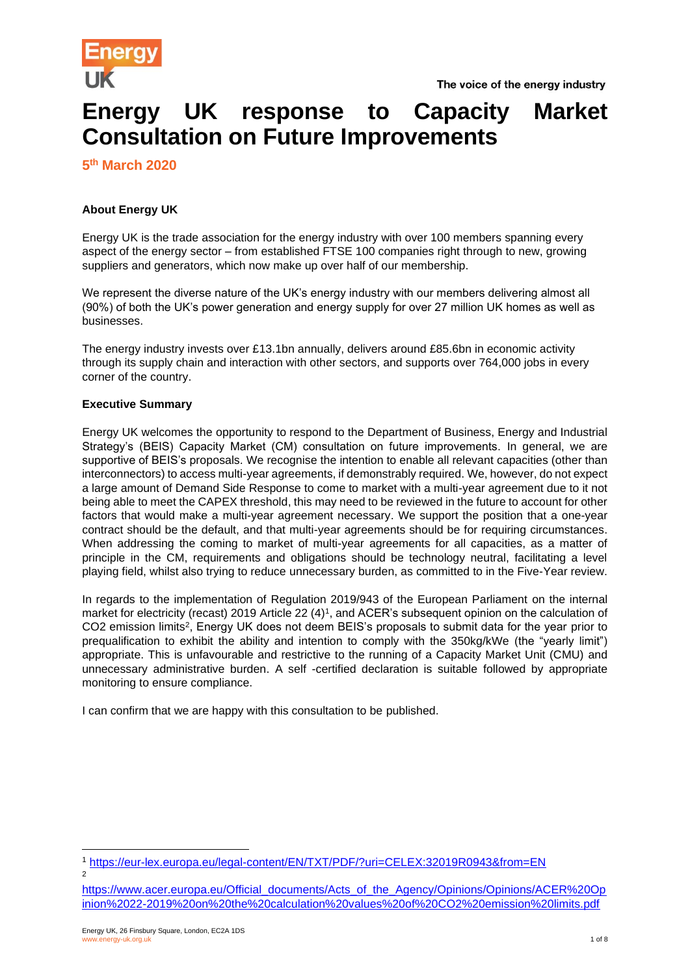

# **Energy UK response to Capacity Market Consultation on Future Improvements**

**5 th March 2020**

# **About Energy UK**

Energy UK is the trade association for the energy industry with over 100 members spanning every aspect of the energy sector – from established FTSE 100 companies right through to new, growing suppliers and generators, which now make up over half of our membership.

We represent the diverse nature of the UK's energy industry with our members delivering almost all (90%) of both the UK's power generation and energy supply for over 27 million UK homes as well as businesses.

The energy industry invests over £13.1bn annually, delivers around £85.6bn in economic activity through its supply chain and interaction with other sectors, and supports over 764,000 jobs in every corner of the country.

## **Executive Summary**

Energy UK welcomes the opportunity to respond to the Department of Business, Energy and Industrial Strategy's (BEIS) Capacity Market (CM) consultation on future improvements. In general, we are supportive of BEIS's proposals. We recognise the intention to enable all relevant capacities (other than interconnectors) to access multi-year agreements, if demonstrably required. We, however, do not expect a large amount of Demand Side Response to come to market with a multi-year agreement due to it not being able to meet the CAPEX threshold, this may need to be reviewed in the future to account for other factors that would make a multi-year agreement necessary. We support the position that a one-year contract should be the default, and that multi-year agreements should be for requiring circumstances. When addressing the coming to market of multi-year agreements for all capacities, as a matter of principle in the CM, requirements and obligations should be technology neutral, facilitating a level playing field, whilst also trying to reduce unnecessary burden, as committed to in the Five-Year review.

In regards to the implementation of Regulation 2019/943 of the European Parliament on the internal market for electricity (recast) 2019 Article 22 (4)<sup>1</sup> , and ACER's subsequent opinion on the calculation of CO2 emission limits<sup>2</sup>, Energy UK does not deem BEIS's proposals to submit data for the year prior to prequalification to exhibit the ability and intention to comply with the 350kg/kWe (the "yearly limit") appropriate. This is unfavourable and restrictive to the running of a Capacity Market Unit (CMU) and unnecessary administrative burden. A self -certified declaration is suitable followed by appropriate monitoring to ensure compliance.

I can confirm that we are happy with this consultation to be published.

<sup>1</sup> <https://eur-lex.europa.eu/legal-content/EN/TXT/PDF/?uri=CELEX:32019R0943&from=EN> 2

[https://www.acer.europa.eu/Official\\_documents/Acts\\_of\\_the\\_Agency/Opinions/Opinions/ACER%20Op](https://www.acer.europa.eu/Official_documents/Acts_of_the_Agency/Opinions/Opinions/ACER%20Opinion%2022-2019%20on%20the%20calculation%20values%20of%20CO2%20emission%20limits.pdf) [inion%2022-2019%20on%20the%20calculation%20values%20of%20CO2%20emission%20limits.pdf](https://www.acer.europa.eu/Official_documents/Acts_of_the_Agency/Opinions/Opinions/ACER%20Opinion%2022-2019%20on%20the%20calculation%20values%20of%20CO2%20emission%20limits.pdf)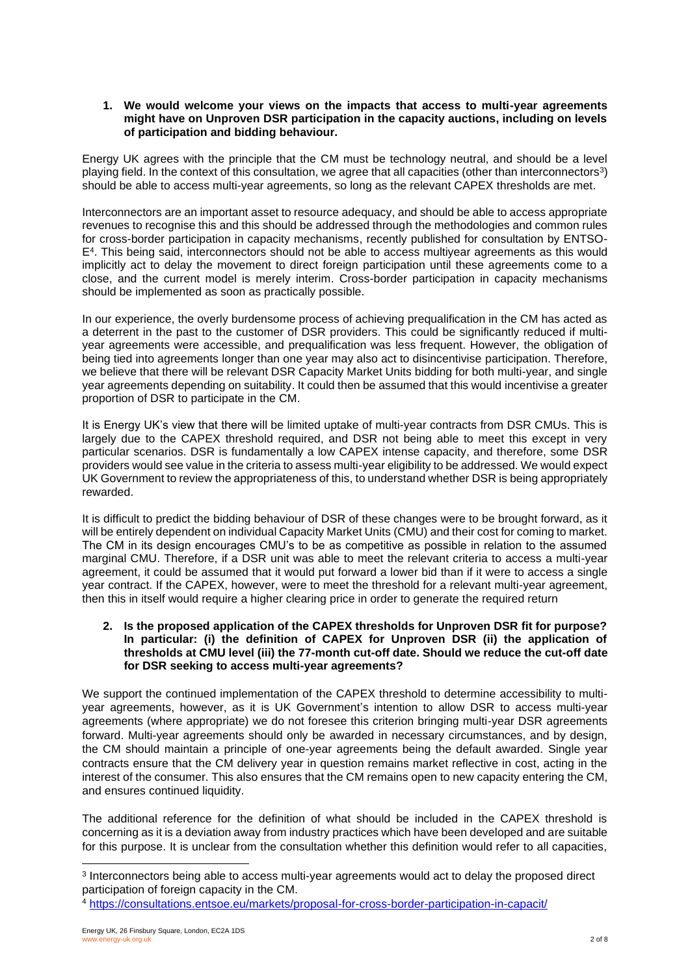#### **1. We would welcome your views on the impacts that access to multi-year agreements might have on Unproven DSR participation in the capacity auctions, including on levels of participation and bidding behaviour.**

Energy UK agrees with the principle that the CM must be technology neutral, and should be a level playing field. In the context of this consultation, we agree that all capacities (other than interconnectors $^3\!)$ should be able to access multi-year agreements, so long as the relevant CAPEX thresholds are met.

Interconnectors are an important asset to resource adequacy, and should be able to access appropriate revenues to recognise this and this should be addressed through the methodologies and common rules for cross-border participation in capacity mechanisms, recently published for consultation by ENTSO-E<sup>4</sup> . This being said, interconnectors should not be able to access multiyear agreements as this would implicitly act to delay the movement to direct foreign participation until these agreements come to a close, and the current model is merely interim. Cross-border participation in capacity mechanisms should be implemented as soon as practically possible.

In our experience, the overly burdensome process of achieving prequalification in the CM has acted as a deterrent in the past to the customer of DSR providers. This could be significantly reduced if multiyear agreements were accessible, and prequalification was less frequent. However, the obligation of being tied into agreements longer than one year may also act to disincentivise participation. Therefore, we believe that there will be relevant DSR Capacity Market Units bidding for both multi-year, and single year agreements depending on suitability. It could then be assumed that this would incentivise a greater proportion of DSR to participate in the CM.

It is Energy UK's view that there will be limited uptake of multi-year contracts from DSR CMUs. This is largely due to the CAPEX threshold required, and DSR not being able to meet this except in very particular scenarios. DSR is fundamentally a low CAPEX intense capacity, and therefore, some DSR providers would see value in the criteria to assess multi-year eligibility to be addressed. We would expect UK Government to review the appropriateness of this, to understand whether DSR is being appropriately rewarded.

It is difficult to predict the bidding behaviour of DSR of these changes were to be brought forward, as it will be entirely dependent on individual Capacity Market Units (CMU) and their cost for coming to market. The CM in its design encourages CMU's to be as competitive as possible in relation to the assumed marginal CMU. Therefore, if a DSR unit was able to meet the relevant criteria to access a multi-year agreement, it could be assumed that it would put forward a lower bid than if it were to access a single year contract. If the CAPEX, however, were to meet the threshold for a relevant multi-year agreement, then this in itself would require a higher clearing price in order to generate the required return

#### **2. Is the proposed application of the CAPEX thresholds for Unproven DSR fit for purpose? In particular: (i) the definition of CAPEX for Unproven DSR (ii) the application of thresholds at CMU level (iii) the 77-month cut-off date. Should we reduce the cut-off date for DSR seeking to access multi-year agreements?**

We support the continued implementation of the CAPEX threshold to determine accessibility to multiyear agreements, however, as it is UK Government's intention to allow DSR to access multi-year agreements (where appropriate) we do not foresee this criterion bringing multi-year DSR agreements forward. Multi-year agreements should only be awarded in necessary circumstances, and by design, the CM should maintain a principle of one-year agreements being the default awarded. Single year contracts ensure that the CM delivery year in question remains market reflective in cost, acting in the interest of the consumer. This also ensures that the CM remains open to new capacity entering the CM, and ensures continued liquidity.

The additional reference for the definition of what should be included in the CAPEX threshold is concerning as it is a deviation away from industry practices which have been developed and are suitable for this purpose. It is unclear from the consultation whether this definition would refer to all capacities,

<sup>&</sup>lt;sup>3</sup> Interconnectors being able to access multi-year agreements would act to delay the proposed direct participation of foreign capacity in the CM.

<sup>4</sup> <https://consultations.entsoe.eu/markets/proposal-for-cross-border-participation-in-capacit/>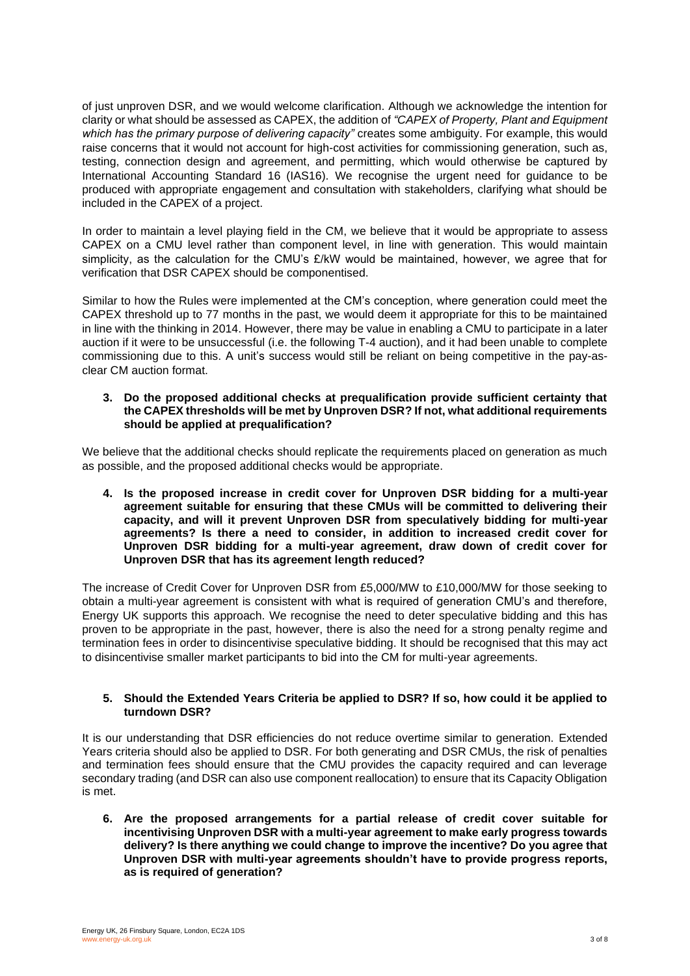of just unproven DSR, and we would welcome clarification. Although we acknowledge the intention for clarity or what should be assessed as CAPEX, the addition of *"CAPEX of Property, Plant and Equipment which has the primary purpose of delivering capacity"* creates some ambiguity. For example, this would raise concerns that it would not account for high-cost activities for commissioning generation, such as, testing, connection design and agreement, and permitting, which would otherwise be captured by International Accounting Standard 16 (IAS16). We recognise the urgent need for guidance to be produced with appropriate engagement and consultation with stakeholders, clarifying what should be included in the CAPEX of a project.

In order to maintain a level playing field in the CM, we believe that it would be appropriate to assess CAPEX on a CMU level rather than component level, in line with generation. This would maintain simplicity, as the calculation for the CMU's £/kW would be maintained, however, we agree that for verification that DSR CAPEX should be componentised.

Similar to how the Rules were implemented at the CM's conception, where generation could meet the CAPEX threshold up to 77 months in the past, we would deem it appropriate for this to be maintained in line with the thinking in 2014. However, there may be value in enabling a CMU to participate in a later auction if it were to be unsuccessful (i.e. the following T-4 auction), and it had been unable to complete commissioning due to this. A unit's success would still be reliant on being competitive in the pay-asclear CM auction format.

#### **3. Do the proposed additional checks at prequalification provide sufficient certainty that the CAPEX thresholds will be met by Unproven DSR? If not, what additional requirements should be applied at prequalification?**

We believe that the additional checks should replicate the requirements placed on generation as much as possible, and the proposed additional checks would be appropriate.

**4. Is the proposed increase in credit cover for Unproven DSR bidding for a multi-year agreement suitable for ensuring that these CMUs will be committed to delivering their capacity, and will it prevent Unproven DSR from speculatively bidding for multi-year agreements? Is there a need to consider, in addition to increased credit cover for Unproven DSR bidding for a multi-year agreement, draw down of credit cover for Unproven DSR that has its agreement length reduced?**

The increase of Credit Cover for Unproven DSR from £5,000/MW to £10,000/MW for those seeking to obtain a multi-year agreement is consistent with what is required of generation CMU's and therefore, Energy UK supports this approach. We recognise the need to deter speculative bidding and this has proven to be appropriate in the past, however, there is also the need for a strong penalty regime and termination fees in order to disincentivise speculative bidding. It should be recognised that this may act to disincentivise smaller market participants to bid into the CM for multi-year agreements.

#### **5. Should the Extended Years Criteria be applied to DSR? If so, how could it be applied to turndown DSR?**

It is our understanding that DSR efficiencies do not reduce overtime similar to generation. Extended Years criteria should also be applied to DSR. For both generating and DSR CMUs, the risk of penalties and termination fees should ensure that the CMU provides the capacity required and can leverage secondary trading (and DSR can also use component reallocation) to ensure that its Capacity Obligation is met.

**6. Are the proposed arrangements for a partial release of credit cover suitable for incentivising Unproven DSR with a multi-year agreement to make early progress towards delivery? Is there anything we could change to improve the incentive? Do you agree that Unproven DSR with multi-year agreements shouldn't have to provide progress reports, as is required of generation?**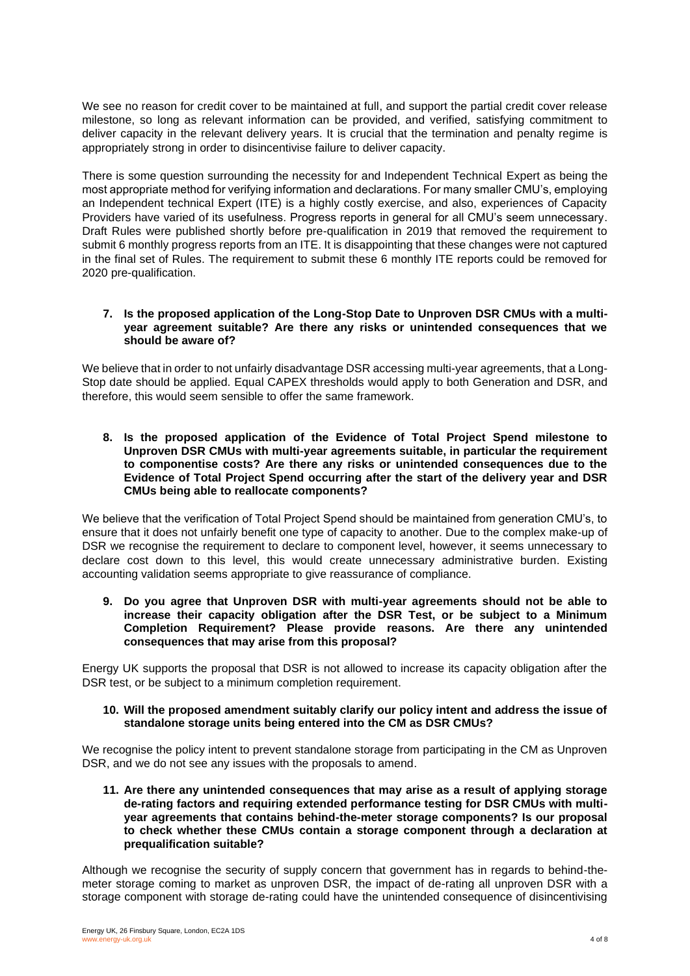We see no reason for credit cover to be maintained at full, and support the partial credit cover release milestone, so long as relevant information can be provided, and verified, satisfying commitment to deliver capacity in the relevant delivery years. It is crucial that the termination and penalty regime is appropriately strong in order to disincentivise failure to deliver capacity.

There is some question surrounding the necessity for and Independent Technical Expert as being the most appropriate method for verifying information and declarations. For many smaller CMU's, employing an Independent technical Expert (ITE) is a highly costly exercise, and also, experiences of Capacity Providers have varied of its usefulness. Progress reports in general for all CMU's seem unnecessary. Draft Rules were published shortly before pre-qualification in 2019 that removed the requirement to submit 6 monthly progress reports from an ITE. It is disappointing that these changes were not captured in the final set of Rules. The requirement to submit these 6 monthly ITE reports could be removed for 2020 pre-qualification.

#### **7. Is the proposed application of the Long-Stop Date to Unproven DSR CMUs with a multiyear agreement suitable? Are there any risks or unintended consequences that we should be aware of?**

We believe that in order to not unfairly disadvantage DSR accessing multi-year agreements, that a Long-Stop date should be applied. Equal CAPEX thresholds would apply to both Generation and DSR, and therefore, this would seem sensible to offer the same framework.

**8. Is the proposed application of the Evidence of Total Project Spend milestone to Unproven DSR CMUs with multi-year agreements suitable, in particular the requirement to componentise costs? Are there any risks or unintended consequences due to the Evidence of Total Project Spend occurring after the start of the delivery year and DSR CMUs being able to reallocate components?**

We believe that the verification of Total Project Spend should be maintained from generation CMU's, to ensure that it does not unfairly benefit one type of capacity to another. Due to the complex make-up of DSR we recognise the requirement to declare to component level, however, it seems unnecessary to declare cost down to this level, this would create unnecessary administrative burden. Existing accounting validation seems appropriate to give reassurance of compliance.

**9. Do you agree that Unproven DSR with multi-year agreements should not be able to increase their capacity obligation after the DSR Test, or be subject to a Minimum Completion Requirement? Please provide reasons. Are there any unintended consequences that may arise from this proposal?**

Energy UK supports the proposal that DSR is not allowed to increase its capacity obligation after the DSR test, or be subject to a minimum completion requirement.

#### **10. Will the proposed amendment suitably clarify our policy intent and address the issue of standalone storage units being entered into the CM as DSR CMUs?**

We recognise the policy intent to prevent standalone storage from participating in the CM as Unproven DSR, and we do not see any issues with the proposals to amend.

**11. Are there any unintended consequences that may arise as a result of applying storage de-rating factors and requiring extended performance testing for DSR CMUs with multiyear agreements that contains behind-the-meter storage components? Is our proposal to check whether these CMUs contain a storage component through a declaration at prequalification suitable?**

Although we recognise the security of supply concern that government has in regards to behind-themeter storage coming to market as unproven DSR, the impact of de-rating all unproven DSR with a storage component with storage de-rating could have the unintended consequence of disincentivising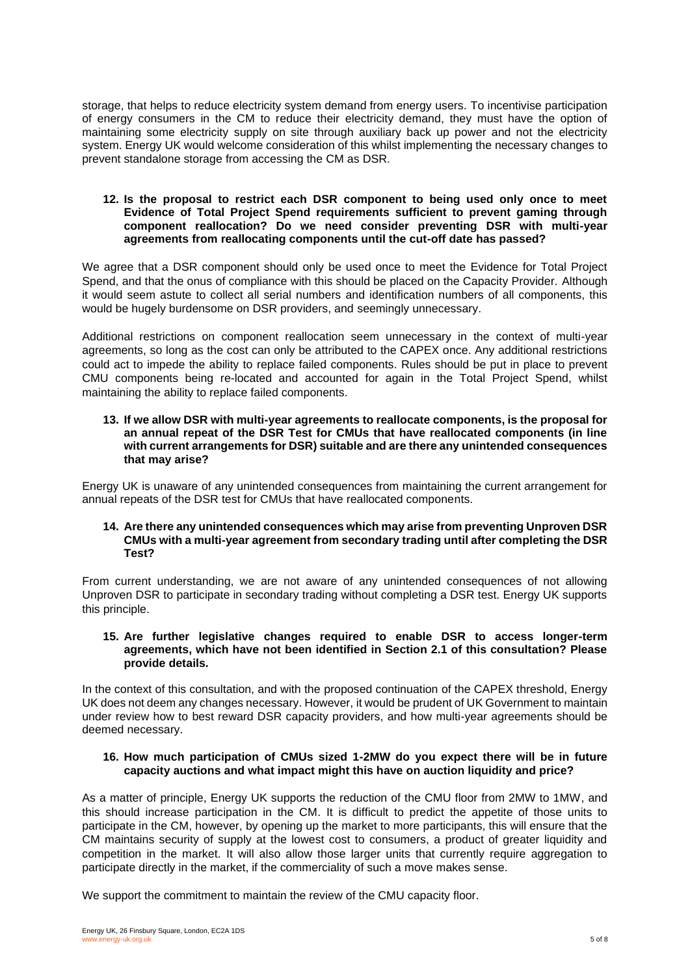storage, that helps to reduce electricity system demand from energy users. To incentivise participation of energy consumers in the CM to reduce their electricity demand, they must have the option of maintaining some electricity supply on site through auxiliary back up power and not the electricity system. Energy UK would welcome consideration of this whilst implementing the necessary changes to prevent standalone storage from accessing the CM as DSR.

#### **12. Is the proposal to restrict each DSR component to being used only once to meet Evidence of Total Project Spend requirements sufficient to prevent gaming through component reallocation? Do we need consider preventing DSR with multi-year agreements from reallocating components until the cut-off date has passed?**

We agree that a DSR component should only be used once to meet the Evidence for Total Project Spend, and that the onus of compliance with this should be placed on the Capacity Provider. Although it would seem astute to collect all serial numbers and identification numbers of all components, this would be hugely burdensome on DSR providers, and seemingly unnecessary.

Additional restrictions on component reallocation seem unnecessary in the context of multi-year agreements, so long as the cost can only be attributed to the CAPEX once. Any additional restrictions could act to impede the ability to replace failed components. Rules should be put in place to prevent CMU components being re-located and accounted for again in the Total Project Spend, whilst maintaining the ability to replace failed components.

#### **13. If we allow DSR with multi-year agreements to reallocate components, is the proposal for an annual repeat of the DSR Test for CMUs that have reallocated components (in line with current arrangements for DSR) suitable and are there any unintended consequences that may arise?**

Energy UK is unaware of any unintended consequences from maintaining the current arrangement for annual repeats of the DSR test for CMUs that have reallocated components.

#### **14. Are there any unintended consequences which may arise from preventing Unproven DSR CMUs with a multi-year agreement from secondary trading until after completing the DSR Test?**

From current understanding, we are not aware of any unintended consequences of not allowing Unproven DSR to participate in secondary trading without completing a DSR test. Energy UK supports this principle.

#### **15. Are further legislative changes required to enable DSR to access longer-term agreements, which have not been identified in Section 2.1 of this consultation? Please provide details.**

In the context of this consultation, and with the proposed continuation of the CAPEX threshold, Energy UK does not deem any changes necessary. However, it would be prudent of UK Government to maintain under review how to best reward DSR capacity providers, and how multi-year agreements should be deemed necessary.

#### **16. How much participation of CMUs sized 1-2MW do you expect there will be in future capacity auctions and what impact might this have on auction liquidity and price?**

As a matter of principle, Energy UK supports the reduction of the CMU floor from 2MW to 1MW, and this should increase participation in the CM. It is difficult to predict the appetite of those units to participate in the CM, however, by opening up the market to more participants, this will ensure that the CM maintains security of supply at the lowest cost to consumers, a product of greater liquidity and competition in the market. It will also allow those larger units that currently require aggregation to participate directly in the market, if the commerciality of such a move makes sense.

We support the commitment to maintain the review of the CMU capacity floor.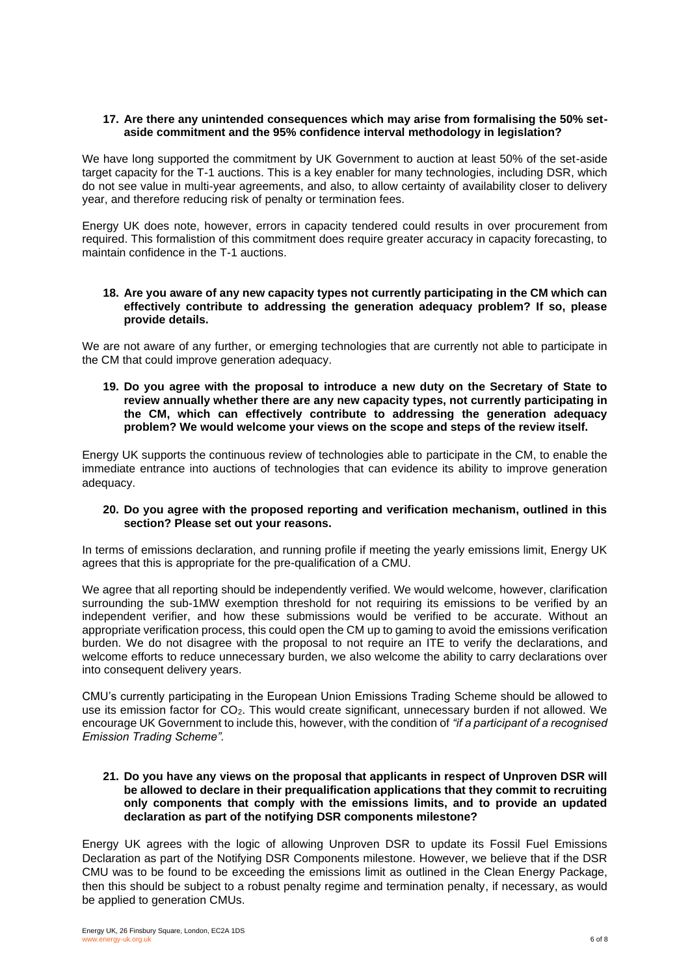#### **17. Are there any unintended consequences which may arise from formalising the 50% setaside commitment and the 95% confidence interval methodology in legislation?**

We have long supported the commitment by UK Government to auction at least 50% of the set-aside target capacity for the T-1 auctions. This is a key enabler for many technologies, including DSR, which do not see value in multi-year agreements, and also, to allow certainty of availability closer to delivery year, and therefore reducing risk of penalty or termination fees.

Energy UK does note, however, errors in capacity tendered could results in over procurement from required. This formalistion of this commitment does require greater accuracy in capacity forecasting, to maintain confidence in the T-1 auctions.

#### **18. Are you aware of any new capacity types not currently participating in the CM which can effectively contribute to addressing the generation adequacy problem? If so, please provide details.**

We are not aware of any further, or emerging technologies that are currently not able to participate in the CM that could improve generation adequacy.

**19. Do you agree with the proposal to introduce a new duty on the Secretary of State to review annually whether there are any new capacity types, not currently participating in the CM, which can effectively contribute to addressing the generation adequacy problem? We would welcome your views on the scope and steps of the review itself.**

Energy UK supports the continuous review of technologies able to participate in the CM, to enable the immediate entrance into auctions of technologies that can evidence its ability to improve generation adequacy.

#### **20. Do you agree with the proposed reporting and verification mechanism, outlined in this section? Please set out your reasons.**

In terms of emissions declaration, and running profile if meeting the yearly emissions limit, Energy UK agrees that this is appropriate for the pre-qualification of a CMU.

We agree that all reporting should be independently verified. We would welcome, however, clarification surrounding the sub-1MW exemption threshold for not requiring its emissions to be verified by an independent verifier, and how these submissions would be verified to be accurate. Without an appropriate verification process, this could open the CM up to gaming to avoid the emissions verification burden. We do not disagree with the proposal to not require an ITE to verify the declarations, and welcome efforts to reduce unnecessary burden, we also welcome the ability to carry declarations over into consequent delivery years.

CMU's currently participating in the European Union Emissions Trading Scheme should be allowed to use its emission factor for CO2. This would create significant, unnecessary burden if not allowed. We encourage UK Government to include this, however, with the condition of *"if a participant of a recognised Emission Trading Scheme".*

#### **21. Do you have any views on the proposal that applicants in respect of Unproven DSR will be allowed to declare in their prequalification applications that they commit to recruiting only components that comply with the emissions limits, and to provide an updated declaration as part of the notifying DSR components milestone?**

Energy UK agrees with the logic of allowing Unproven DSR to update its Fossil Fuel Emissions Declaration as part of the Notifying DSR Components milestone. However, we believe that if the DSR CMU was to be found to be exceeding the emissions limit as outlined in the Clean Energy Package, then this should be subject to a robust penalty regime and termination penalty, if necessary, as would be applied to generation CMUs.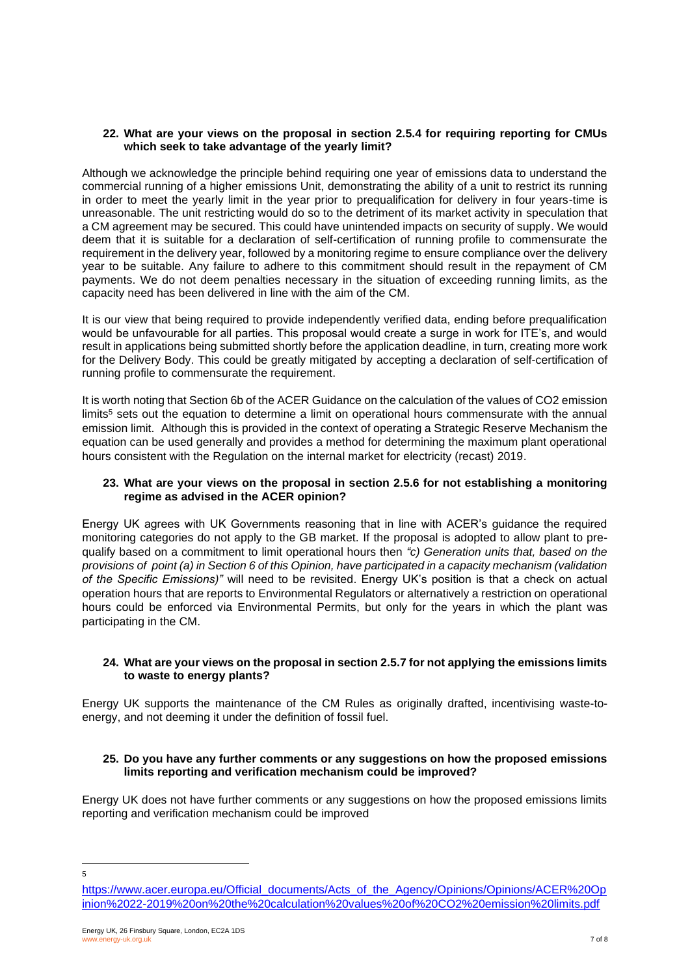#### **22. What are your views on the proposal in section 2.5.4 for requiring reporting for CMUs which seek to take advantage of the yearly limit?**

Although we acknowledge the principle behind requiring one year of emissions data to understand the commercial running of a higher emissions Unit, demonstrating the ability of a unit to restrict its running in order to meet the yearly limit in the year prior to prequalification for delivery in four years-time is unreasonable. The unit restricting would do so to the detriment of its market activity in speculation that a CM agreement may be secured. This could have unintended impacts on security of supply. We would deem that it is suitable for a declaration of self-certification of running profile to commensurate the requirement in the delivery year, followed by a monitoring regime to ensure compliance over the delivery year to be suitable. Any failure to adhere to this commitment should result in the repayment of CM payments. We do not deem penalties necessary in the situation of exceeding running limits, as the capacity need has been delivered in line with the aim of the CM.

It is our view that being required to provide independently verified data, ending before prequalification would be unfavourable for all parties. This proposal would create a surge in work for ITE's, and would result in applications being submitted shortly before the application deadline, in turn, creating more work for the Delivery Body. This could be greatly mitigated by accepting a declaration of self-certification of running profile to commensurate the requirement.

It is worth noting that Section 6b of the ACER Guidance on the calculation of the values of CO2 emission limits<sup>5</sup> sets out the equation to determine a limit on operational hours commensurate with the annual emission limit. Although this is provided in the context of operating a Strategic Reserve Mechanism the equation can be used generally and provides a method for determining the maximum plant operational hours consistent with the Regulation on the internal market for electricity (recast) 2019.

#### **23. What are your views on the proposal in section 2.5.6 for not establishing a monitoring regime as advised in the ACER opinion?**

Energy UK agrees with UK Governments reasoning that in line with ACER's guidance the required monitoring categories do not apply to the GB market. If the proposal is adopted to allow plant to prequalify based on a commitment to limit operational hours then *"c) Generation units that, based on the provisions of point (a) in Section 6 of this Opinion, have participated in a capacity mechanism (validation of the Specific Emissions)"* will need to be revisited. Energy UK's position is that a check on actual operation hours that are reports to Environmental Regulators or alternatively a restriction on operational hours could be enforced via Environmental Permits, but only for the years in which the plant was participating in the CM.

#### **24. What are your views on the proposal in section 2.5.7 for not applying the emissions limits to waste to energy plants?**

Energy UK supports the maintenance of the CM Rules as originally drafted, incentivising waste-toenergy, and not deeming it under the definition of fossil fuel.

#### **25. Do you have any further comments or any suggestions on how the proposed emissions limits reporting and verification mechanism could be improved?**

Energy UK does not have further comments or any suggestions on how the proposed emissions limits reporting and verification mechanism could be improved

5

[https://www.acer.europa.eu/Official\\_documents/Acts\\_of\\_the\\_Agency/Opinions/Opinions/ACER%20Op](https://www.acer.europa.eu/Official_documents/Acts_of_the_Agency/Opinions/Opinions/ACER%20Opinion%2022-2019%20on%20the%20calculation%20values%20of%20CO2%20emission%20limits.pdf) [inion%2022-2019%20on%20the%20calculation%20values%20of%20CO2%20emission%20limits.pdf](https://www.acer.europa.eu/Official_documents/Acts_of_the_Agency/Opinions/Opinions/ACER%20Opinion%2022-2019%20on%20the%20calculation%20values%20of%20CO2%20emission%20limits.pdf)